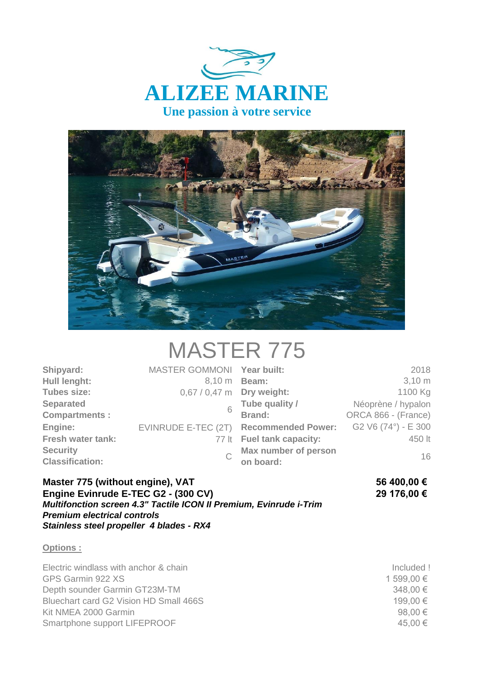



## MASTER 775

| Shipyard:<br>Hull lenght:                 | MASTER GOMMONI Year built:<br>8.10 m | <b>Beam:</b>                           | 2018<br>$3,10 \, \text{m}$ |
|-------------------------------------------|--------------------------------------|----------------------------------------|----------------------------|
| <b>Tubes size:</b>                        | 0,67 / 0,47 m Dry weight:            |                                        | 1100 Kg                    |
| <b>Separated</b>                          |                                      | Tube quality /                         | Néoprène / hypalon         |
| <b>Compartments:</b>                      |                                      | Brand:                                 | ORCA 866 - (France)        |
| Engine:                                   |                                      | EVINRUDE E-TEC (2T) Recommended Power: | G2 V6 (74°) - E 300        |
| <b>Fresh water tank:</b>                  |                                      | 77 It Fuel tank capacity:              | 450 lt                     |
| <b>Security</b><br><b>Classification:</b> |                                      | Max number of person<br>on board:      | 16                         |

**Master 775 (without engine), VAT 56 400,00 € Engine Evinrude E-TEC G2 - (300 CV) 29 176,00 €** *Multifonction screen 4.3" Tactile ICON II Premium, Evinrude i-Trim Premium electrical controls Stainless steel propeller 4 blades - RX4*

## **Options :**

Electric windlass with anchor & chain Included ! GPS Garmin 922 XS 1 599,00  $\in$ Depth sounder Garmin GT23M-TM 348,00 € Bluechart card G2 Vision HD Small  $466S$  199,00  $\in$  199,00  $\in$ Kit NMEA 2000 Garmin  $98.00 \in$ Smartphone support LIFEPROOF 45,00 €